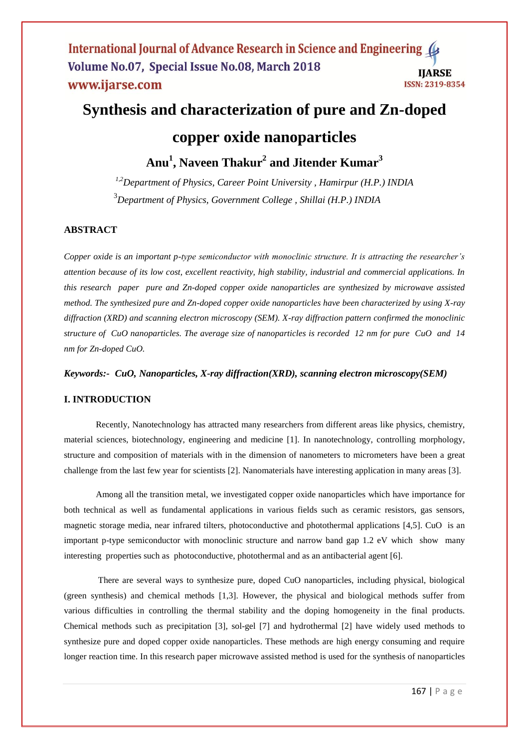# **Synthesis and characterization of pure and Zn-doped copper oxide nanoparticles**

**Anu<sup>1</sup> , Naveen Thakur<sup>2</sup> and Jitender Kumar<sup>3</sup>**

*1,2Department of Physics, Career Point University , Hamirpur (H.P.) INDIA* <sup>3</sup>*Department of Physics, Government College , Shillai (H.P.) INDIA*

# **ABSTRACT**

*Copper oxide is an important p-type semiconductor with monoclinic structure. It is attracting the researcher's attention because of its low cost, excellent reactivity, high stability, industrial and commercial applications. In this research paper pure and Zn-doped copper oxide nanoparticles are synthesized by microwave assisted method. The synthesized pure and Zn-doped copper oxide nanoparticles have been characterized by using X-ray diffraction (XRD) and scanning electron microscopy (SEM). X-ray diffraction pattern confirmed the monoclinic structure of CuO nanoparticles. The average size of nanoparticles is recorded 12 nm for pure CuO and 14 nm for Zn-doped CuO.*

*Keywords:- CuO, Nanoparticles, X-ray diffraction(XRD), scanning electron microscopy(SEM)*

# **I. INTRODUCTION**

Recently, Nanotechnology has attracted many researchers from different areas like physics, chemistry, material sciences, biotechnology, engineering and medicine [1]. In nanotechnology, controlling morphology, structure and composition of materials with in the dimension of nanometers to micrometers have been a great challenge from the last few year for scientists [2]. Nanomaterials have interesting application in many areas [3].

Among all the transition metal, we investigated copper oxide nanoparticles which have importance for both technical as well as fundamental applications in various fields such as ceramic resistors, gas sensors, magnetic storage media, near infrared tilters, photoconductive and photothermal applications [4,5]. CuO is an important p-type semiconductor with monoclinic structure and narrow band gap 1.2 eV which show many interesting properties such as photoconductive, photothermal and as an antibacterial agent [6].

There are several ways to synthesize pure, doped CuO nanoparticles, including physical, biological (green synthesis) and chemical methods [1,3]. However, the physical and biological methods suffer from various difficulties in controlling the thermal stability and the doping homogeneity in the final products. Chemical methods such as precipitation [3], sol-gel [7] and hydrothermal [2] have widely used methods to synthesize pure and doped copper oxide nanoparticles. These methods are high energy consuming and require longer reaction time. In this research paper microwave assisted method is used for the synthesis of nanoparticles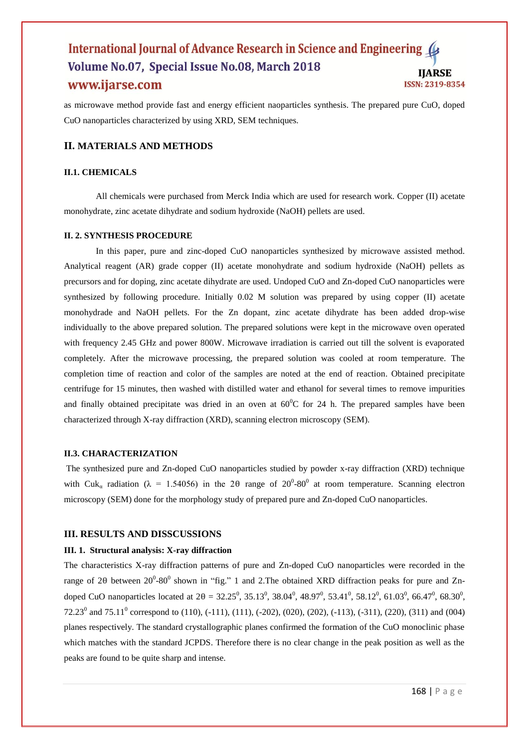as microwave method provide fast and energy efficient naoparticles synthesis. The prepared pure CuO, doped CuO nanoparticles characterized by using XRD, SEM techniques.

## **II. MATERIALS AND METHODS**

## **II.1. CHEMICALS**

All chemicals were purchased from Merck India which are used for research work. Copper (II) acetate monohydrate, zinc acetate dihydrate and sodium hydroxide (NaOH) pellets are used.

#### **II. 2. SYNTHESIS PROCEDURE**

In this paper, pure and zinc-doped CuO nanoparticles synthesized by microwave assisted method. Analytical reagent (AR) grade copper (II) acetate monohydrate and sodium hydroxide (NaOH) pellets as precursors and for doping, zinc acetate dihydrate are used. Undoped CuO and Zn-doped CuO nanoparticles were synthesized by following procedure. Initially 0.02 M solution was prepared by using copper (II) acetate monohydrade and NaOH pellets. For the Zn dopant, zinc acetate dihydrate has been added drop-wise individually to the above prepared solution. The prepared solutions were kept in the microwave oven operated with frequency 2.45 GHz and power 800W. Microwave irradiation is carried out till the solvent is evaporated completely. After the microwave processing, the prepared solution was cooled at room temperature. The completion time of reaction and color of the samples are noted at the end of reaction. Obtained precipitate centrifuge for 15 minutes, then washed with distilled water and ethanol for several times to remove impurities and finally obtained precipitate was dried in an oven at  $60^{\circ}$ C for 24 h. The prepared samples have been characterized through X-ray diffraction (XRD), scanning electron microscopy (SEM).

#### **II.3. CHARACTERIZATION**

The synthesized pure and Zn-doped CuO nanoparticles studied by powder x-ray diffraction (XRD) technique with Cuk<sub>a</sub> radiation ( $\lambda = 1.54056$ ) in the 20 range of 20<sup>0</sup>-80<sup>0</sup> at room temperature. Scanning electron microscopy (SEM) done for the morphology study of prepared pure and Zn-doped CuO nanoparticles.

## **III. RESULTS AND DISSCUSSIONS**

#### **III. 1. Structural analysis: X-ray diffraction**

The characteristics X-ray diffraction patterns of pure and Zn-doped CuO nanoparticles were recorded in the range of 20 between  $20^0$ -80<sup>0</sup> shown in "fig." 1 and 2. The obtained XRD diffraction peaks for pure and Zndoped CuO nanoparticles located at  $2\theta = 32.25^0$ ,  $35.13^0$ ,  $38.04^0$ ,  $48.97^0$ ,  $53.41^0$ ,  $58.12^0$ ,  $61.03^0$ ,  $66.47^0$ ,  $68.30^0$ , 72.23<sup>0</sup> and 75.11<sup>0</sup> correspond to (110), (-111), (111), (-202), (020), (202), (-113), (-311), (220), (311) and (004) planes respectively. The standard crystallographic planes confirmed the formation of the CuO monoclinic phase which matches with the standard JCPDS. Therefore there is no clear change in the peak position as well as the peaks are found to be quite sharp and intense.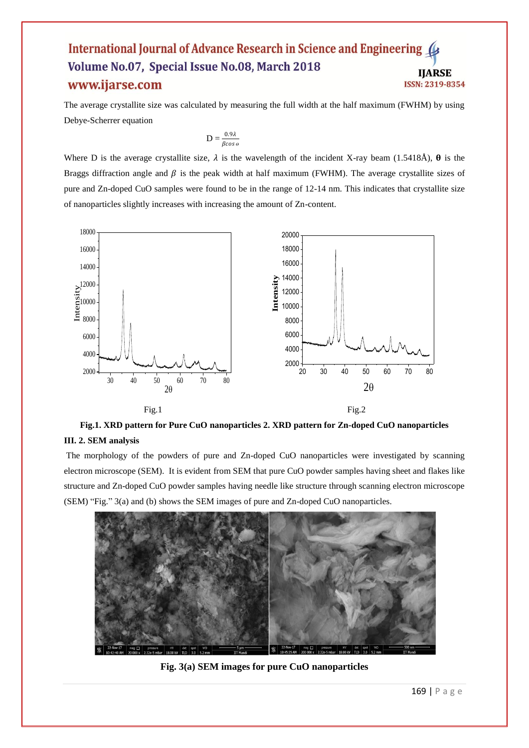The average crystallite size was calculated by measuring the full width at the half maximum (FWHM) by using Debye-Scherrer equation

$$
D = \frac{0.9\lambda}{\beta \cos \theta}
$$

Where D is the average crystallite size,  $\lambda$  is the wavelength of the incident X-ray beam (1.5418Å),  $\theta$  is the Braggs diffraction angle and  $\beta$  is the peak width at half maximum (FWHM). The average crystallite sizes of pure and Zn-doped CuO samples were found to be in the range of 12-14 nm. This indicates that crystallite size of nanoparticles slightly increases with increasing the amount of Zn-content.



**Fig.1. XRD pattern for Pure CuO nanoparticles 2. XRD pattern for Zn-doped CuO nanoparticles III. 2. SEM analysis**

The morphology of the powders of pure and Zn-doped CuO nanoparticles were investigated by scanning electron microscope (SEM). It is evident from SEM that pure CuO powder samples having sheet and flakes like structure and Zn-doped CuO powder samples having needle like structure through scanning electron microscope (SEM) "Fig." 3(a) and (b) shows the SEM images of pure and Zn-doped CuO nanoparticles.



**Fig. 3(a) SEM images for pure CuO nanoparticles**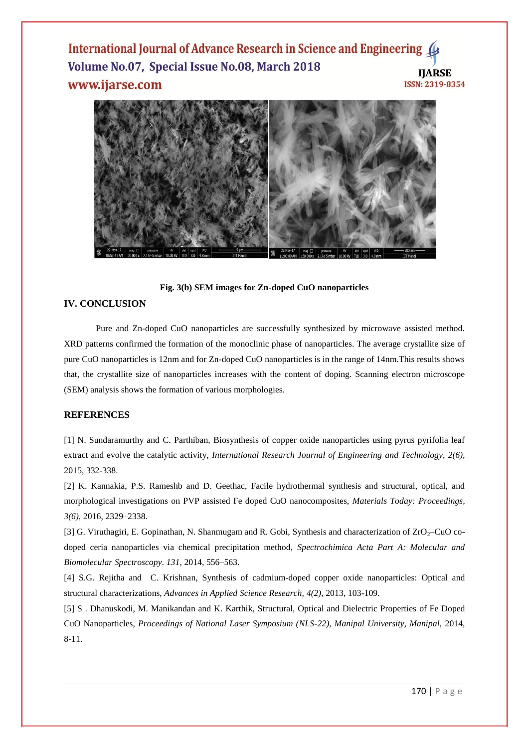

**Fig. 3(b) SEM images for Zn-doped CuO nanoparticles**

## **IV. CONCLUSION**

Pure and Zn-doped CuO nanoparticles are successfully synthesized by microwave assisted method. XRD patterns confirmed the formation of the monoclinic phase of nanoparticles. The average crystallite size of pure CuO nanoparticles is 12nm and for Zn-doped CuO nanoparticles is in the range of 14nm.This results shows that, the crystallite size of nanoparticles increases with the content of doping. Scanning electron microscope (SEM) analysis shows the formation of various morphologies.

# **REFERENCES**

[1] N. Sundaramurthy and C. Parthiban, Biosynthesis of copper oxide nanoparticles using pyrus pyrifolia leaf extract and evolve the catalytic activity, *International Research Journal of Engineering and Technology, 2(6),* 2015, 332-338.

[2] K. Kannakia, P.S. Rameshb and D. Geethac, Facile hydrothermal synthesis and structural, optical, and morphological investigations on PVP assisted Fe doped CuO nanocomposites, *Materials Today: Proceedings, 3(6),* 2016, 2329–2338.

[3] G. Viruthagiri, E. Gopinathan, N. Shanmugam and R. Gobi, Synthesis and characterization of ZrO<sub>2</sub>–CuO codoped ceria nanoparticles via chemical precipitation method, *Spectrochimica Acta Part A: Molecular and Biomolecular Spectroscopy. 131,* 2014, 556–563.

[4] S.G. Rejitha and C. Krishnan, Synthesis of cadmium-doped copper oxide nanoparticles: Optical and structural characterizations, *Advances in Applied Science Research, 4(2),* 2013, 103-109.

[5] S . Dhanuskodi, M. Manikandan and K. Karthik, Structural, Optical and Dielectric Properties of Fe Doped CuO Nanoparticles, *Proceedings of National Laser Symposium (NLS-22), Manipal University, Manipal,* 2014, 8-11.